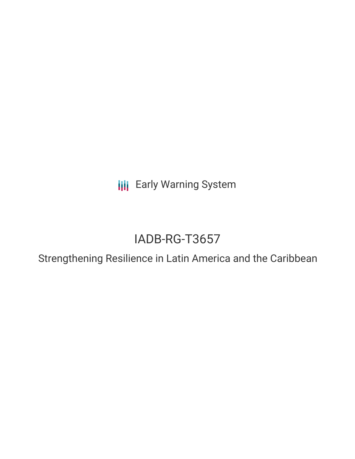**III** Early Warning System

# IADB-RG-T3657

Strengthening Resilience in Latin America and the Caribbean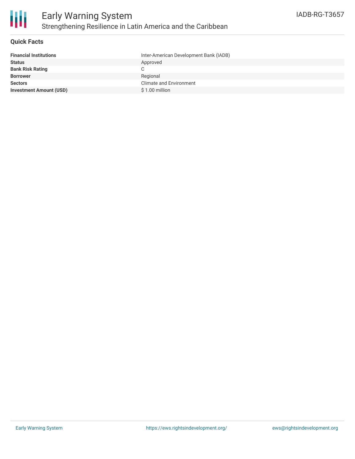

## **Quick Facts**

| <b>Financial Institutions</b>  | Inter-American Development Bank (IADB) |
|--------------------------------|----------------------------------------|
| <b>Status</b>                  | Approved                               |
| <b>Bank Risk Rating</b>        |                                        |
| <b>Borrower</b>                | Regional                               |
| <b>Sectors</b>                 | <b>Climate and Environment</b>         |
| <b>Investment Amount (USD)</b> | $$1.00$ million                        |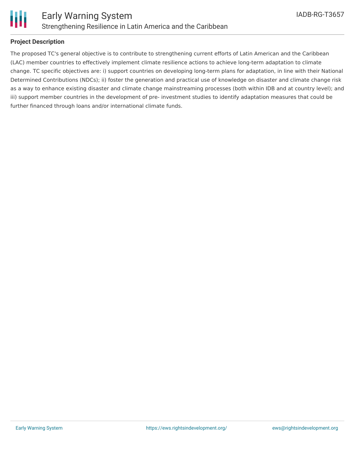

# **Project Description**

The proposed TC's general objective is to contribute to strengthening current efforts of Latin American and the Caribbean (LAC) member countries to effectively implement climate resilience actions to achieve long-term adaptation to climate change. TC specific objectives are: i) support countries on developing long-term plans for adaptation, in line with their National Determined Contributions (NDCs); ii) foster the generation and practical use of knowledge on disaster and climate change risk as a way to enhance existing disaster and climate change mainstreaming processes (both within IDB and at country level); and iii) support member countries in the development of pre- investment studies to identify adaptation measures that could be further financed through loans and/or international climate funds.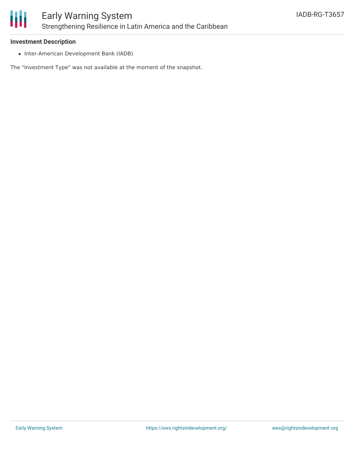

#### **Investment Description**

• Inter-American Development Bank (IADB)

The "Investment Type" was not available at the moment of the snapshot.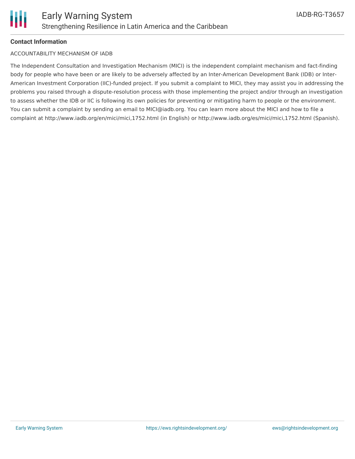# **Contact Information**

## ACCOUNTABILITY MECHANISM OF IADB

The Independent Consultation and Investigation Mechanism (MICI) is the independent complaint mechanism and fact-finding body for people who have been or are likely to be adversely affected by an Inter-American Development Bank (IDB) or Inter-American Investment Corporation (IIC)-funded project. If you submit a complaint to MICI, they may assist you in addressing the problems you raised through a dispute-resolution process with those implementing the project and/or through an investigation to assess whether the IDB or IIC is following its own policies for preventing or mitigating harm to people or the environment. You can submit a complaint by sending an email to MICI@iadb.org. You can learn more about the MICI and how to file a complaint at http://www.iadb.org/en/mici/mici,1752.html (in English) or http://www.iadb.org/es/mici/mici,1752.html (Spanish).